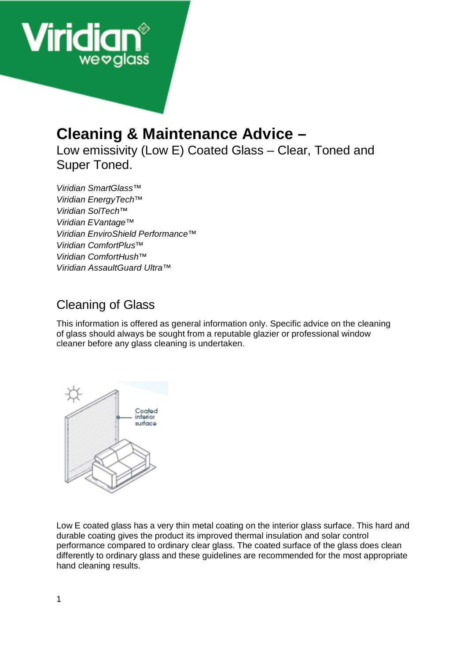

# **Cleaning & Maintenance Advice –**

Low emissivity (Low E) Coated Glass – Clear, Toned and Super Toned.

*Viridian SmartGlass™ Viridian EnergyTech™ Viridian SolTech™ Viridian EVantage™ Viridian EnviroShield Performance™ Viridian ComfortPlus™ Viridian ComfortHush™ Viridian AssaultGuard Ultra™* 

# Cleaning of Glass

This information is offered as general information only. Specific advice on the cleaning of glass should always be sought from a reputable glazier or professional window cleaner before any glass cleaning is undertaken.



Low E coated glass has a very thin metal coating on the interior glass surface. This hard and durable coating gives the product its improved thermal insulation and solar control performance compared to ordinary clear glass. The coated surface of the glass does clean differently to ordinary glass and these guidelines are recommended for the most appropriate hand cleaning results.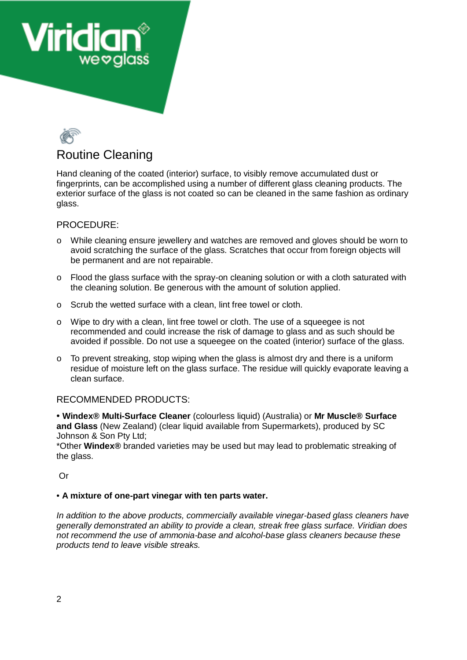



Hand cleaning of the coated (interior) surface, to visibly remove accumulated dust or fingerprints, can be accomplished using a number of different glass cleaning products. The exterior surface of the glass is not coated so can be cleaned in the same fashion as ordinary glass.

#### PROCEDURE:

- o While cleaning ensure jewellery and watches are removed and gloves should be worn to avoid scratching the surface of the glass. Scratches that occur from foreign objects will be permanent and are not repairable.
- $\circ$  Flood the glass surface with the spray-on cleaning solution or with a cloth saturated with the cleaning solution. Be generous with the amount of solution applied.
- o Scrub the wetted surface with a clean, lint free towel or cloth.
- o Wipe to dry with a clean, lint free towel or cloth. The use of a squeegee is not recommended and could increase the risk of damage to glass and as such should be avoided if possible. Do not use a squeegee on the coated (interior) surface of the glass.
- o To prevent streaking, stop wiping when the glass is almost dry and there is a uniform residue of moisture left on the glass surface. The residue will quickly evaporate leaving a clean surface.

# RECOMMENDED PRODUCTS:

• **Windex® Multi-Surface Cleaner** (colourless liquid) (Australia) or **Mr Muscle® Surface and Glass** (New Zealand) (clear liquid available from Supermarkets), produced by SC Johnson & Son Pty Ltd;

\*Other **Windex®** branded varieties may be used but may lead to problematic streaking of the glass.

Or

#### • **A mixture of one-part vinegar with ten parts water.**

*In addition to the above products, commercially available vinegar-based glass cleaners have generally demonstrated an ability to provide a clean, streak free glass surface. Viridian does not recommend the use of ammonia-base and alcohol-base glass cleaners because these products tend to leave visible streaks.*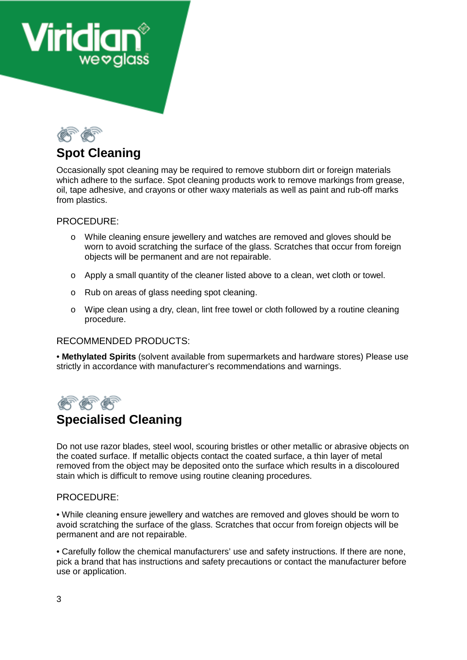



# **Spot Cleaning**

Occasionally spot cleaning may be required to remove stubborn dirt or foreign materials which adhere to the surface. Spot cleaning products work to remove markings from grease. oil, tape adhesive, and crayons or other waxy materials as well as paint and rub-off marks from plastics.

### PROCEDURE:

- o While cleaning ensure jewellery and watches are removed and gloves should be worn to avoid scratching the surface of the glass. Scratches that occur from foreign objects will be permanent and are not repairable.
- o Apply a small quantity of the cleaner listed above to a clean, wet cloth or towel.
- o Rub on areas of glass needing spot cleaning.
- o Wipe clean using a dry, clean, lint free towel or cloth followed by a routine cleaning procedure.

# RECOMMENDED PRODUCTS:

• **Methylated Spirits** (solvent available from supermarkets and hardware stores) Please use strictly in accordance with manufacturer's recommendations and warnings.



# **Specialised Cleaning**

Do not use razor blades, steel wool, scouring bristles or other metallic or abrasive objects on the coated surface. If metallic objects contact the coated surface, a thin layer of metal removed from the object may be deposited onto the surface which results in a discoloured stain which is difficult to remove using routine cleaning procedures.

#### PROCEDURE:

• While cleaning ensure jewellery and watches are removed and gloves should be worn to avoid scratching the surface of the glass. Scratches that occur from foreign objects will be permanent and are not repairable.

• Carefully follow the chemical manufacturers' use and safety instructions. If there are none, pick a brand that has instructions and safety precautions or contact the manufacturer before use or application.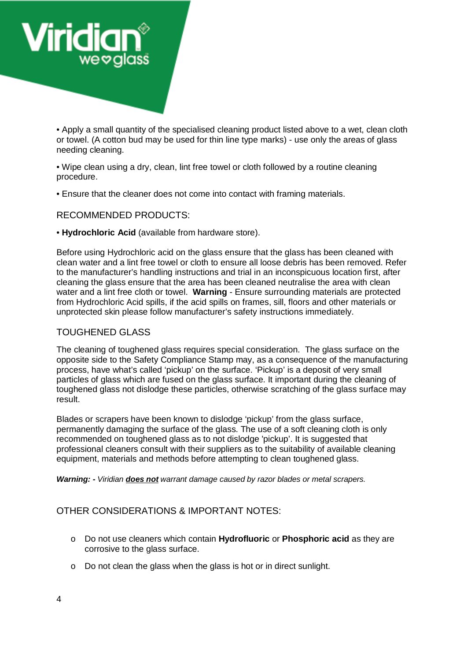

• Apply a small quantity of the specialised cleaning product listed above to a wet, clean cloth or towel. (A cotton bud may be used for thin line type marks) - use only the areas of glass needing cleaning.

• Wipe clean using a dry, clean, lint free towel or cloth followed by a routine cleaning procedure.

• Ensure that the cleaner does not come into contact with framing materials.

RECOMMENDED PRODUCTS:

• **Hydrochloric Acid** (available from hardware store).

Before using Hydrochloric acid on the glass ensure that the glass has been cleaned with clean water and a lint free towel or cloth to ensure all loose debris has been removed. Refer to the manufacturer's handling instructions and trial in an inconspicuous location first, after cleaning the glass ensure that the area has been cleaned neutralise the area with clean water and a lint free cloth or towel. **Warning** - Ensure surrounding materials are protected from Hydrochloric Acid spills, if the acid spills on frames, sill, floors and other materials or unprotected skin please follow manufacturer's safety instructions immediately.

#### TOUGHENED GLASS

The cleaning of toughened glass requires special consideration. The glass surface on the opposite side to the Safety Compliance Stamp may, as a consequence of the manufacturing process, have what's called 'pickup' on the surface. 'Pickup' is a deposit of very small particles of glass which are fused on the glass surface. It important during the cleaning of toughened glass not dislodge these particles, otherwise scratching of the glass surface may result.

Blades or scrapers have been known to dislodge 'pickup' from the glass surface, permanently damaging the surface of the glass. The use of a soft cleaning cloth is only recommended on toughened glass as to not dislodge 'pickup'. It is suggested that professional cleaners consult with their suppliers as to the suitability of available cleaning equipment, materials and methods before attempting to clean toughened glass.

*Warning: - Viridian does not warrant damage caused by razor blades or metal scrapers.* 

# OTHER CONSIDERATIONS & IMPORTANT NOTES:

- o Do not use cleaners which contain **Hydrofluoric** or **Phosphoric acid** as they are corrosive to the glass surface.
- o Do not clean the glass when the glass is hot or in direct sunlight.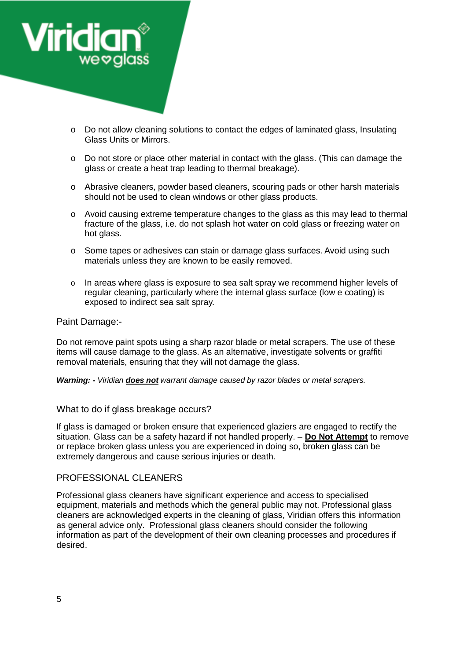

- o Do not allow cleaning solutions to contact the edges of laminated glass, Insulating Glass Units or Mirrors.
- $\circ$  Do not store or place other material in contact with the glass. (This can damage the glass or create a heat trap leading to thermal breakage).
- o Abrasive cleaners, powder based cleaners, scouring pads or other harsh materials should not be used to clean windows or other glass products.
- o Avoid causing extreme temperature changes to the glass as this may lead to thermal fracture of the glass, i.e. do not splash hot water on cold glass or freezing water on hot glass.
- o Some tapes or adhesives can stain or damage glass surfaces. Avoid using such materials unless they are known to be easily removed.
- o In areas where glass is exposure to sea salt spray we recommend higher levels of regular cleaning, particularly where the internal glass surface (low e coating) is exposed to indirect sea salt spray.

#### Paint Damage:-

Do not remove paint spots using a sharp razor blade or metal scrapers. The use of these items will cause damage to the glass. As an alternative, investigate solvents or graffiti removal materials, ensuring that they will not damage the glass.

*Warning: - Viridian does not warrant damage caused by razor blades or metal scrapers.* 

#### What to do if glass breakage occurs?

If glass is damaged or broken ensure that experienced glaziers are engaged to rectify the situation. Glass can be a safety hazard if not handled properly. – **Do Not Attempt** to remove or replace broken glass unless you are experienced in doing so, broken glass can be extremely dangerous and cause serious injuries or death.

#### PROFESSIONAL CLEANERS

Professional glass cleaners have significant experience and access to specialised equipment, materials and methods which the general public may not. Professional glass cleaners are acknowledged experts in the cleaning of glass, Viridian offers this information as general advice only. Professional glass cleaners should consider the following information as part of the development of their own cleaning processes and procedures if desired.